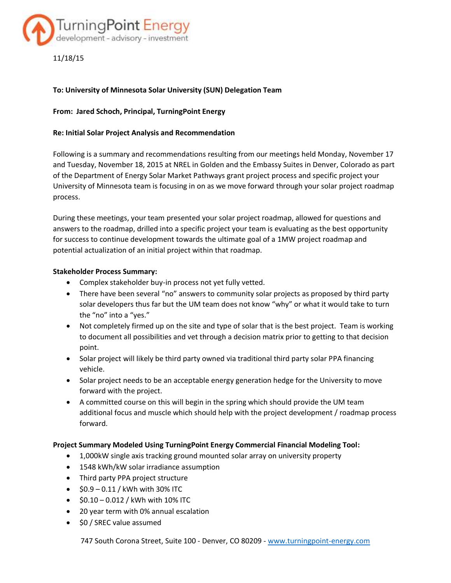

11/18/15

# **To: University of Minnesota Solar University (SUN) Delegation Team**

# **From: Jared Schoch, Principal, TurningPoint Energy**

### **Re: Initial Solar Project Analysis and Recommendation**

Following is a summary and recommendations resulting from our meetings held Monday, November 17 and Tuesday, November 18, 2015 at NREL in Golden and the Embassy Suites in Denver, Colorado as part of the Department of Energy Solar Market Pathways grant project process and specific project your University of Minnesota team is focusing in on as we move forward through your solar project roadmap process.

During these meetings, your team presented your solar project roadmap, allowed for questions and answers to the roadmap, drilled into a specific project your team is evaluating as the best opportunity for success to continue development towards the ultimate goal of a 1MW project roadmap and potential actualization of an initial project within that roadmap.

### **Stakeholder Process Summary:**

- Complex stakeholder buy-in process not yet fully vetted.
- There have been several "no" answers to community solar projects as proposed by third party solar developers thus far but the UM team does not know "why" or what it would take to turn the "no" into a "yes."
- Not completely firmed up on the site and type of solar that is the best project. Team is working to document all possibilities and vet through a decision matrix prior to getting to that decision point.
- Solar project will likely be third party owned via traditional third party solar PPA financing vehicle.
- Solar project needs to be an acceptable energy generation hedge for the University to move forward with the project.
- A committed course on this will begin in the spring which should provide the UM team additional focus and muscle which should help with the project development / roadmap process forward.

#### **Project Summary Modeled Using TurningPoint Energy Commercial Financial Modeling Tool:**

- 1,000kW single axis tracking ground mounted solar array on university property
- 1548 kWh/kW solar irradiance assumption
- Third party PPA project structure
- $\bullet$  \$0.9 0.11 / kWh with 30% ITC
- $\bullet$  \$0.10 0.012 / kWh with 10% ITC
- 20 year term with 0% annual escalation
- \$0 / SREC value assumed

747 South Corona Street, Suite 100 - Denver, CO 80209 - [www.turningpoint-energy.com](http://www.turningpoint-energy.com/)